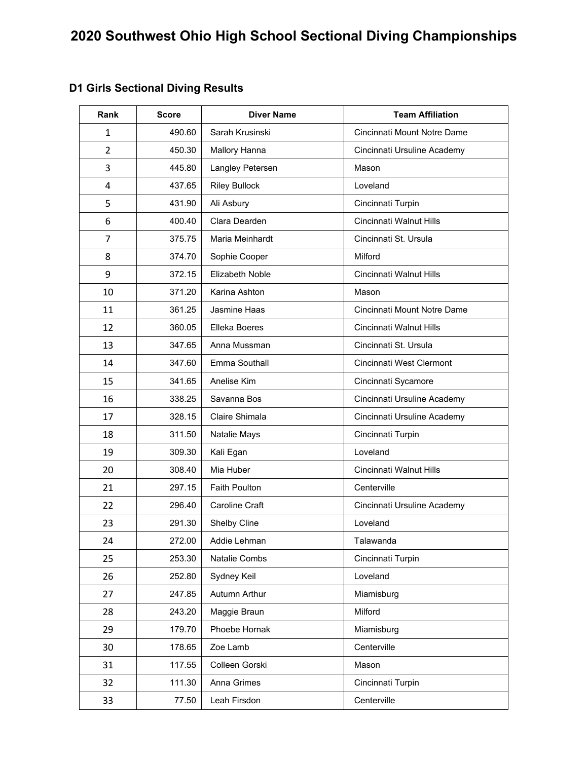| Rank           | <b>Score</b> | <b>Diver Name</b>    | <b>Team Affiliation</b>     |
|----------------|--------------|----------------------|-----------------------------|
| 1              | 490.60       | Sarah Krusinski      | Cincinnati Mount Notre Dame |
| $\overline{2}$ | 450.30       | Mallory Hanna        | Cincinnati Ursuline Academy |
| 3              | 445.80       | Langley Petersen     | Mason                       |
| 4              | 437.65       | <b>Riley Bullock</b> | Loveland                    |
| 5              | 431.90       | Ali Asbury           | Cincinnati Turpin           |
| 6              | 400.40       | Clara Dearden        | Cincinnati Walnut Hills     |
| $\overline{7}$ | 375.75       | Maria Meinhardt      | Cincinnati St. Ursula       |
| 8              | 374.70       | Sophie Cooper        | Milford                     |
| 9              | 372.15       | Elizabeth Noble      | Cincinnati Walnut Hills     |
| 10             | 371.20       | Karina Ashton        | Mason                       |
| 11             | 361.25       | Jasmine Haas         | Cincinnati Mount Notre Dame |
| 12             | 360.05       | Elleka Boeres        | Cincinnati Walnut Hills     |
| 13             | 347.65       | Anna Mussman         | Cincinnati St. Ursula       |
| 14             | 347.60       | Emma Southall        | Cincinnati West Clermont    |
| 15             | 341.65       | Anelise Kim          | Cincinnati Sycamore         |
| 16             | 338.25       | Savanna Bos          | Cincinnati Ursuline Academy |
| 17             | 328.15       | Claire Shimala       | Cincinnati Ursuline Academy |
| 18             | 311.50       | Natalie Mays         | Cincinnati Turpin           |
| 19             | 309.30       | Kali Egan            | Loveland                    |
| 20             | 308.40       | Mia Huber            | Cincinnati Walnut Hills     |
| 21             | 297.15       | <b>Faith Poulton</b> | Centerville                 |
| 22             | 296.40       | Caroline Craft       | Cincinnati Ursuline Academy |
| 23             | 291.30       | Shelby Cline         | Loveland                    |
| 24             | 272.00       | Addie Lehman         | Talawanda                   |
| 25             | 253.30       | Natalie Combs        | Cincinnati Turpin           |
| 26             | 252.80       | Sydney Keil          | Loveland                    |
| 27             | 247.85       | Autumn Arthur        | Miamisburg                  |
| 28             | 243.20       | Maggie Braun         | Milford                     |
| 29             | 179.70       | Phoebe Hornak        | Miamisburg                  |
| 30             | 178.65       | Zoe Lamb             | Centerville                 |
| 31             | 117.55       | Colleen Gorski       | Mason                       |
| 32             | 111.30       | Anna Grimes          | Cincinnati Turpin           |
| 33             | 77.50        | Leah Firsdon         | Centerville                 |

## **D1 Girls Sectional Diving Results**